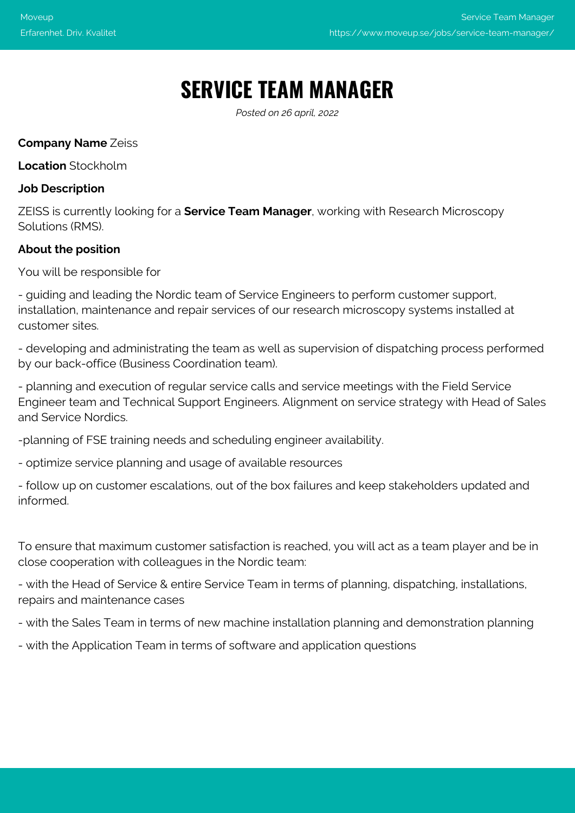# **SERVICE TEAM MANAGER**

*Posted on 26 april, 2022*

# **Company Name** Zeiss

**Location** Stockholm

# **Job Description**

ZEISS is currently looking for a **Service Team Manager**, working with Research Microscopy Solutions (RMS).

# **About the position**

You will be responsible for

- guiding and leading the Nordic team of Service Engineers to perform customer support, installation, maintenance and repair services of our research microscopy systems installed at customer sites.

- developing and administrating the team as well as supervision of dispatching process performed by our back-office (Business Coordination team).

- planning and execution of regular service calls and service meetings with the Field Service Engineer team and Technical Support Engineers. Alignment on service strategy with Head of Sales and Service Nordics.

-planning of FSE training needs and scheduling engineer availability.

- optimize service planning and usage of available resources

- follow up on customer escalations, out of the box failures and keep stakeholders updated and informed.

To ensure that maximum customer satisfaction is reached, you will act as a team player and be in close cooperation with colleagues in the Nordic team:

- with the Head of Service & entire Service Team in terms of planning, dispatching, installations, repairs and maintenance cases

- with the Sales Team in terms of new machine installation planning and demonstration planning

- with the Application Team in terms of software and application questions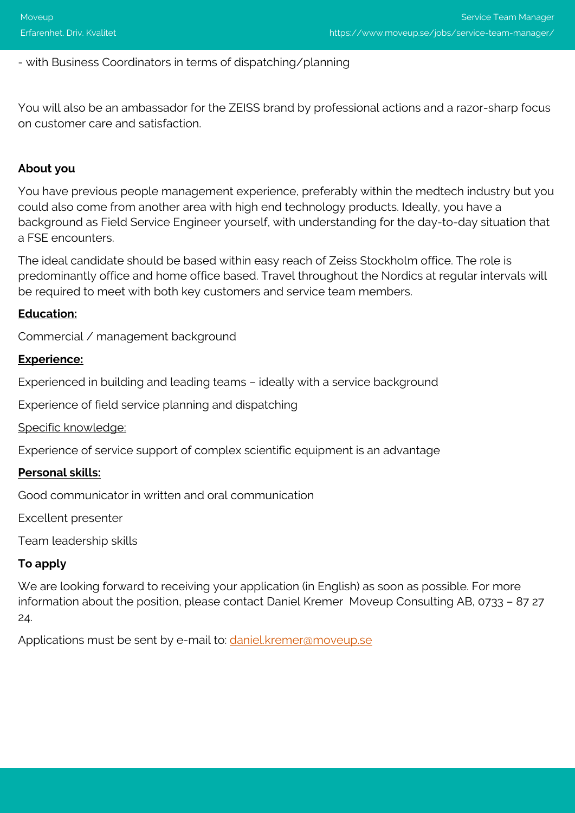# - with Business Coordinators in terms of dispatching/planning

You will also be an ambassador for the ZEISS brand by professional actions and a razor-sharp focus on customer care and satisfaction.

# **About you**

You have previous people management experience, preferably within the medtech industry but you could also come from another area with high end technology products. Ideally, you have a background as Field Service Engineer yourself, with understanding for the day-to-day situation that a FSE encounters.

The ideal candidate should be based within easy reach of Zeiss Stockholm office. The role is predominantly office and home office based. Travel throughout the Nordics at regular intervals will be required to meet with both key customers and service team members.

#### **Education:**

Commercial / management background

## **Experience:**

Experienced in building and leading teams – ideally with a service background

Experience of field service planning and dispatching

Specific knowledge:

Experience of service support of complex scientific equipment is an advantage

#### **Personal skills:**

Good communicator in written and oral communication

Excellent presenter

Team leadership skills

## **To apply**

We are looking forward to receiving your application (in English) as soon as possible. For more information about the position, please contact Daniel Kremer Moveup Consulting AB, 0733 – 87 27 24.

Applications must be sent by e-mail to: [daniel.kremer@moveup.se](mailto:daniel.kremer@moveup.se)